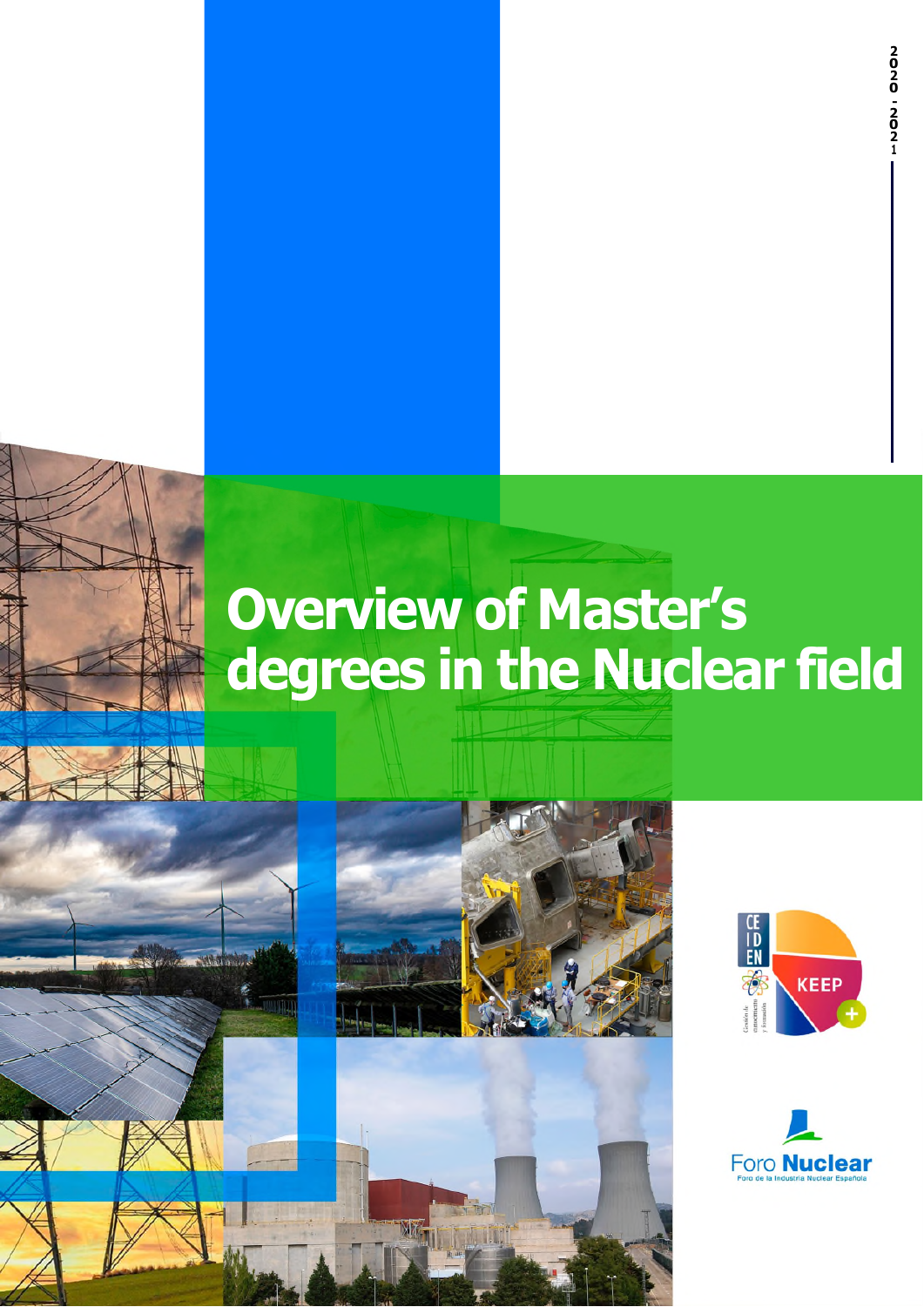**1**

# **Overview of Master's degrees in the Nuclear field**







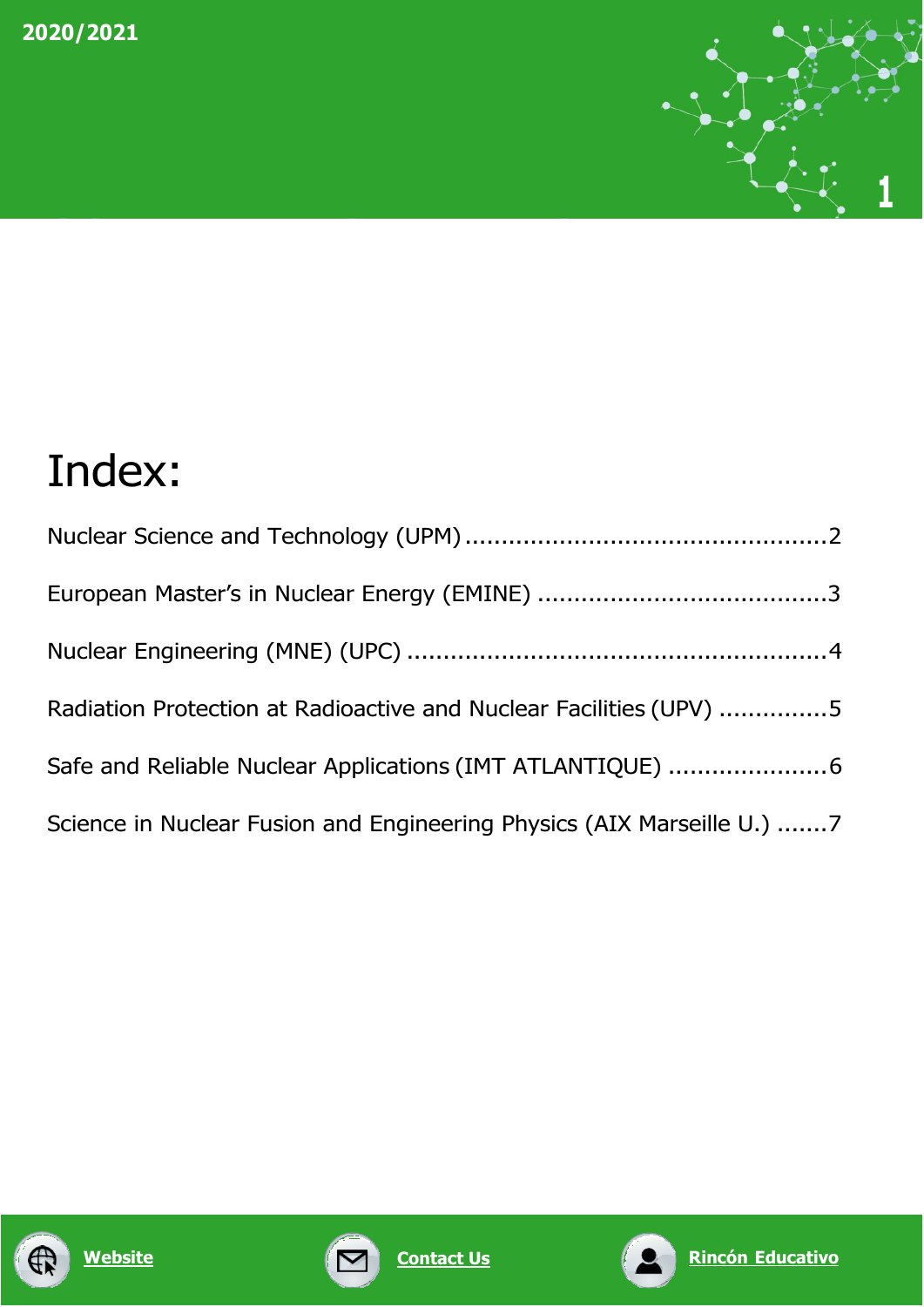

## Index:

| Radiation Protection at Radioactive and Nuclear Facilities (UPV) 5     |
|------------------------------------------------------------------------|
| Safe and Reliable Nuclear Applications (IMT ATLANTIQUE) 6              |
| Science in Nuclear Fusion and Engineering Physics (AIX Marseille U.) 7 |





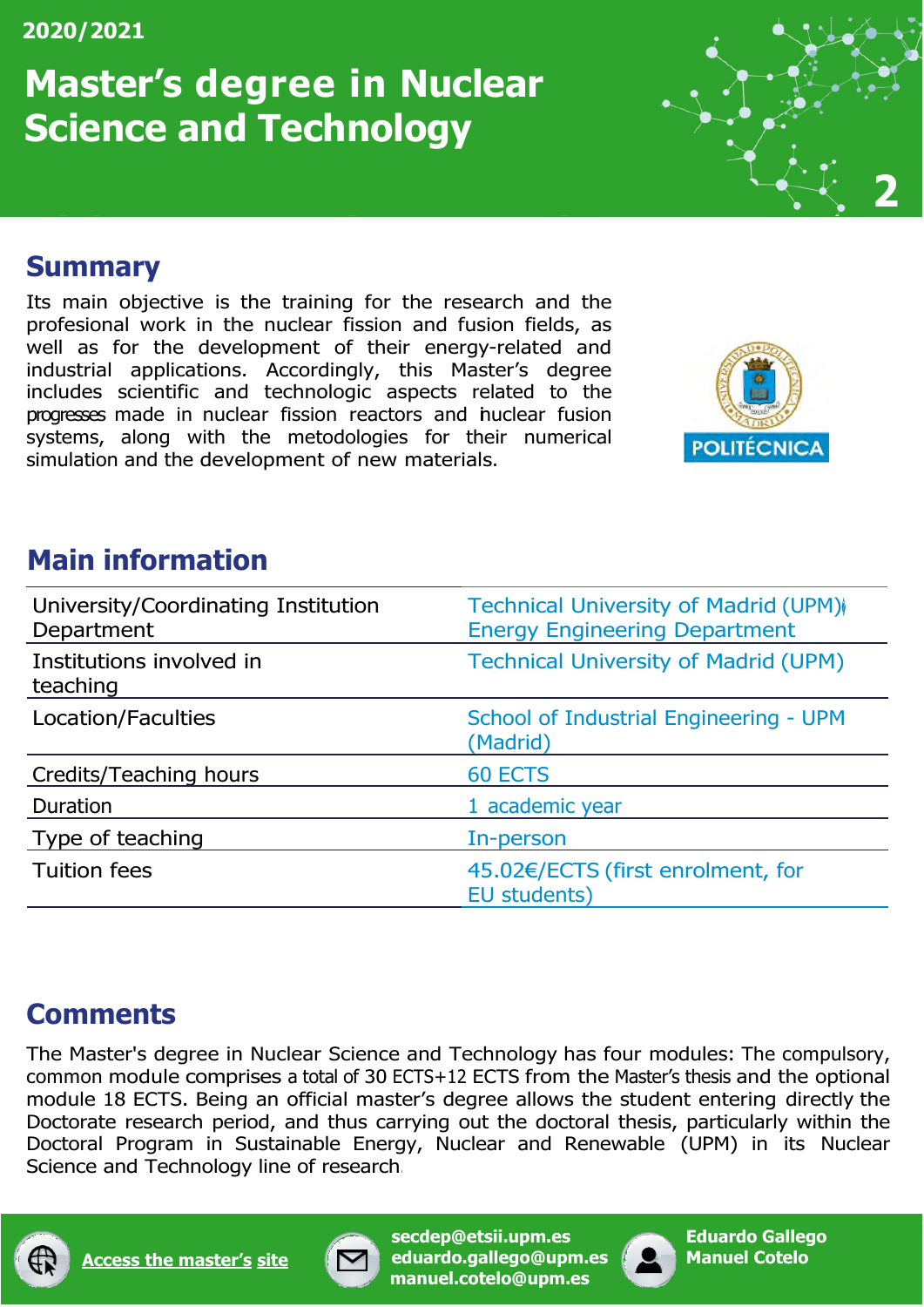### **Master's degree in Nuclear Science and Technology**



#### <span id="page-2-0"></span>**Summary**

Its main objective is the training for the research and the profesional work in the nuclear fission and fusion fields, as well as for the development of their energy-related and industrial applications. Accordingly, this Master's degree includes scientific and technologic aspects related to the progresses made in nuclear fission reactors and inuclear fusion systems, along with the metodologies for their numerical simulation and the development of new materials.



#### **Main information**

| University/Coordinating Institution<br>Department | Technical University of Madrid (UPM)<br><b>Energy Engineering Department</b> |
|---------------------------------------------------|------------------------------------------------------------------------------|
| Institutions involved in<br>teaching              | <b>Technical University of Madrid (UPM)</b>                                  |
| Location/Faculties                                | School of Industrial Engineering - UPM<br>(Madrid)                           |
| Credits/Teaching hours                            | <b>60 ECTS</b>                                                               |
| Duration                                          | 1 academic year                                                              |
| Type of teaching                                  | In-person                                                                    |
| <b>Tuition fees</b>                               | 45.02€/ECTS (first enrolment, for<br>EU students)                            |

#### **Comments**

The Master's degree in Nuclear Science and Technology has four modules: The compulsory, common module comprises a total of 30 ECTS+12 ECTS from the Master's thesis and the optional module 18 ECTS. Being an official master's degree allows the student entering directly the Doctorate research period, and thus carrying out the doctoral thesis, particularly within the Doctoral Program in Sustainable Energy, Nuclear and Renewable (UPM) in its Nuclear Science and Technology line of research.





**[secdep@etsii.upm.es](mailto:secdep@etsii.upm.es) [eduar](mailto:eduardo.gallego@upm.es)[do.gallego@upm.es](mailto:do.gallego@upm.es) [manuel.co](mailto:manuel.cotelo@upm.es)[telo@upm.es](mailto:telo@upm.es)**

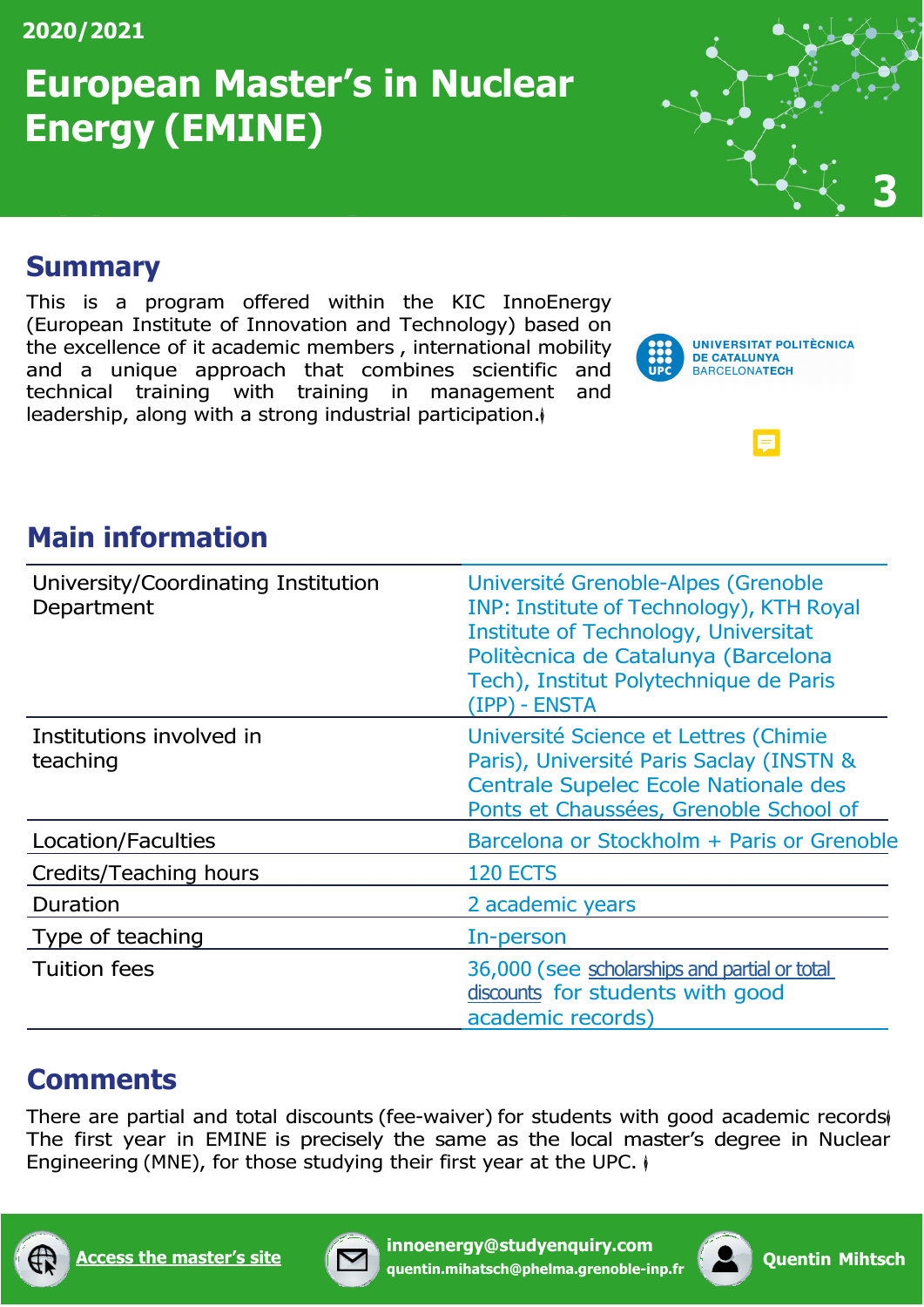### **European Master's in Nuclear Energy (EMINE)**



#### <span id="page-3-0"></span>**(EMINE) Summary**

This is a program offered within the KIC InnoEnergy (European Institute of Innovation and Technology) based on the excellence of it academic members , international mobility and a unique approach that combines scientific and technical training with training in management and leadership, along with a strong industrial participation.



 $\equiv$ 

#### **Main information**

| University/Coordinating Institution<br>Department | Université Grenoble-Alpes (Grenoble<br>INP: Institute of Technology), KTH Royal<br><b>Institute of Technology, Universitat</b><br>Politècnica de Catalunya (Barcelona<br>Tech), Institut Polytechnique de Paris<br>(IPP) - ENSTA |
|---------------------------------------------------|----------------------------------------------------------------------------------------------------------------------------------------------------------------------------------------------------------------------------------|
| Institutions involved in<br>teaching              | Université Science et Lettres (Chimie<br>Paris), Université Paris Saclay (INSTN &<br>Centrale Supelec Ecole Nationale des<br>Ponts et Chaussées, Grenoble School of                                                              |
| Location/Faculties                                | Barcelona or Stockholm + Paris or Grenoble                                                                                                                                                                                       |
| Credits/Teaching hours                            | 120 ECTS                                                                                                                                                                                                                         |
| Duration                                          | 2 academic years                                                                                                                                                                                                                 |
| Type of teaching                                  | In-person                                                                                                                                                                                                                        |
| <b>Tuition fees</b>                               | 36,000 (see scholarships and partial or total<br>discounts for students with good<br>academic records)                                                                                                                           |

#### **Comments**

There are partial and total discounts (fee-waiver) for students with good academic records The first year in EMINE is precisely the same as the local master's degree in Nuclear Engineering (MNE), for those studying their first year at the UPC.  $\phi$ 





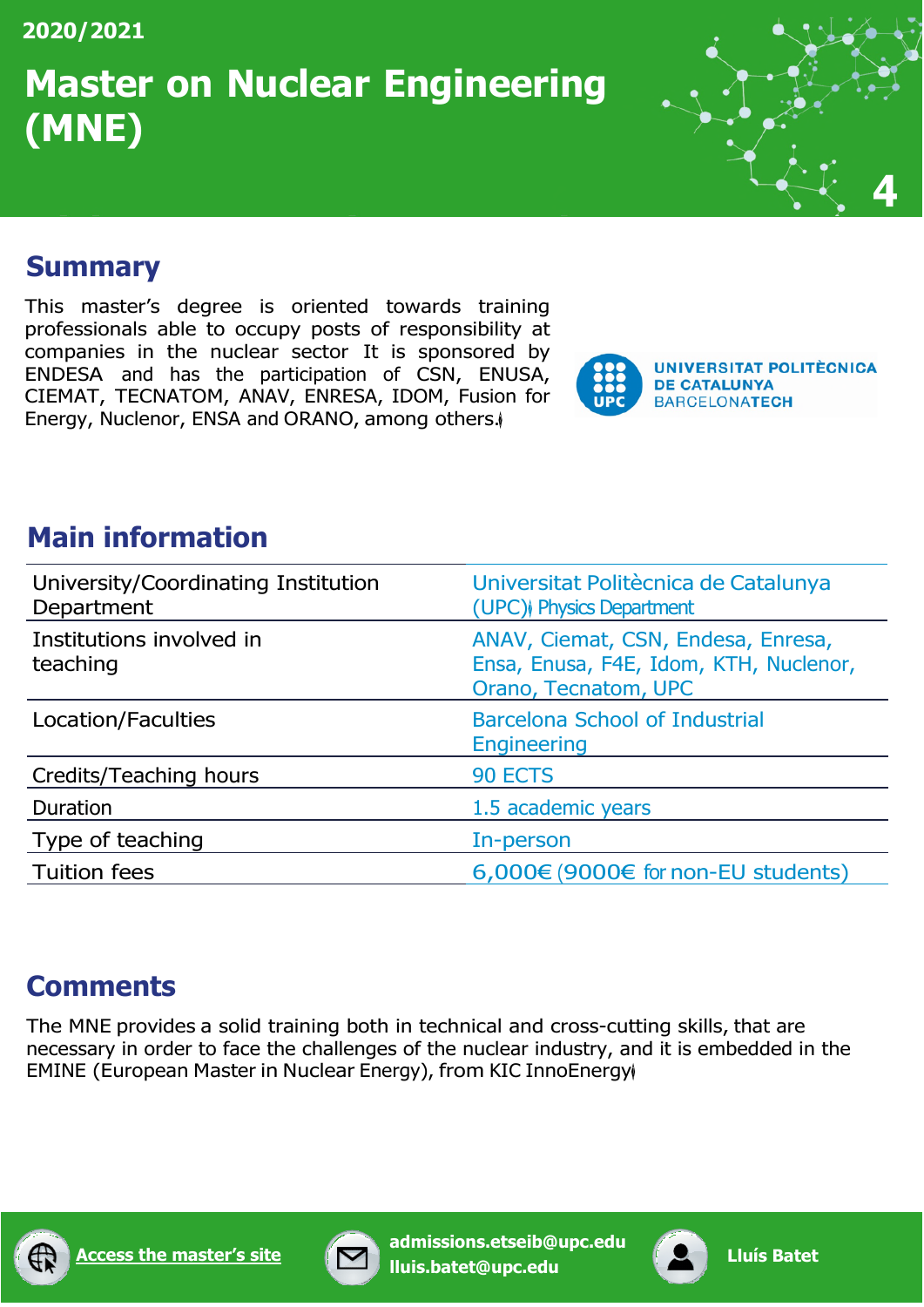### **Master on Nuclear Engineering (MNE)**



#### <span id="page-4-0"></span>**Summary**

This master's degree is oriented towards training professionals able to occupy posts of responsibility at companies in the nuclear sector It is sponsored by ENDESA and has the participation of CSN, ENUSA, CIEMAT, TECNATOM, ANAV, ENRESA, IDOM, Fusion for Energy, Nuclenor, ENSA and ORANO, among others.



#### **Main information**

| University/Coordinating Institution<br>Department | Universitat Politècnica de Catalunya<br>(UPC) Physics Department                                     |
|---------------------------------------------------|------------------------------------------------------------------------------------------------------|
| Institutions involved in<br>teaching              | ANAV, Ciemat, CSN, Endesa, Enresa,<br>Ensa, Enusa, F4E, Idom, KTH, Nuclenor,<br>Orano, Tecnatom, UPC |
| Location/Faculties                                | <b>Barcelona School of Industrial</b><br><b>Engineering</b>                                          |
| Credits/Teaching hours                            | 90 ECTS                                                                                              |
| Duration                                          | 1.5 academic years                                                                                   |
| Type of teaching                                  | In-person                                                                                            |
| <b>Tuition fees</b>                               | $6,000€$ (9000€ for non-EU students)                                                                 |

#### **Comments**

The MNE provides a solid training both in technical and cross-cutting skills, that are necessary in order to face the challenges of the nuclear industry, and it is embedded in the EMINE (European Master in Nuclear Energy), from KIC InnoEnergy





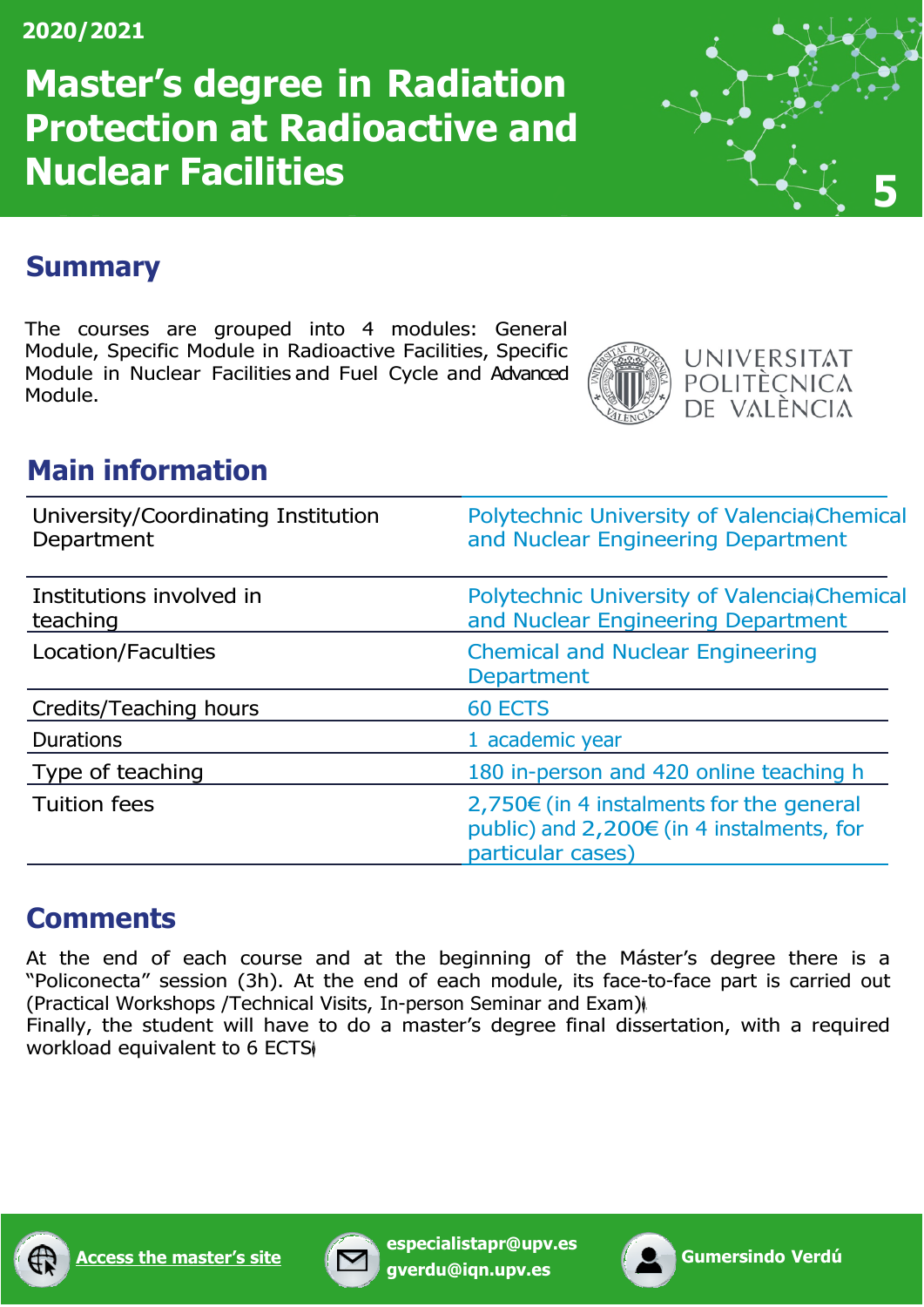**Master's degree in Radiation Protection at Radioactive and Nuclear Facilities <sup>5</sup>**



#### <span id="page-5-0"></span>**Summary**

The courses are grouped into 4 modules: General Module, Specific Module in Radioactive Facilities, Specific Module in Nuclear Facilities and Fuel Cycle and Advanced Module.



#### **Main information**

| University/Coordinating Institution<br>Department | Polytechnic University of Valencia Chemical<br>and Nuclear Engineering Department                          |
|---------------------------------------------------|------------------------------------------------------------------------------------------------------------|
| Institutions involved in<br>teaching              | Polytechnic University of Valencia Chemical<br>and Nuclear Engineering Department                          |
| Location/Faculties                                | <b>Chemical and Nuclear Engineering</b><br><b>Department</b>                                               |
| Credits/Teaching hours                            | 60 ECTS                                                                                                    |
| <b>Durations</b>                                  | 1 academic year                                                                                            |
| Type of teaching                                  | 180 in-person and 420 online teaching h                                                                    |
| <b>Tuition fees</b>                               | 2,750€ (in 4 instalments for the general<br>public) and 2,200€ (in 4 instalments, for<br>particular cases) |

#### **Comments**

At the end of each course and at the beginning of the Máster's degree there is a "Policonecta" session (3h). At the end of each module, its face-to-face part is carried out (Practical Workshops /Technical Visits, In-person Seminar and Exam)�.

Finally, the student will have to do a master's degree final dissertation, with a required workload equivalent to 6 ECTS





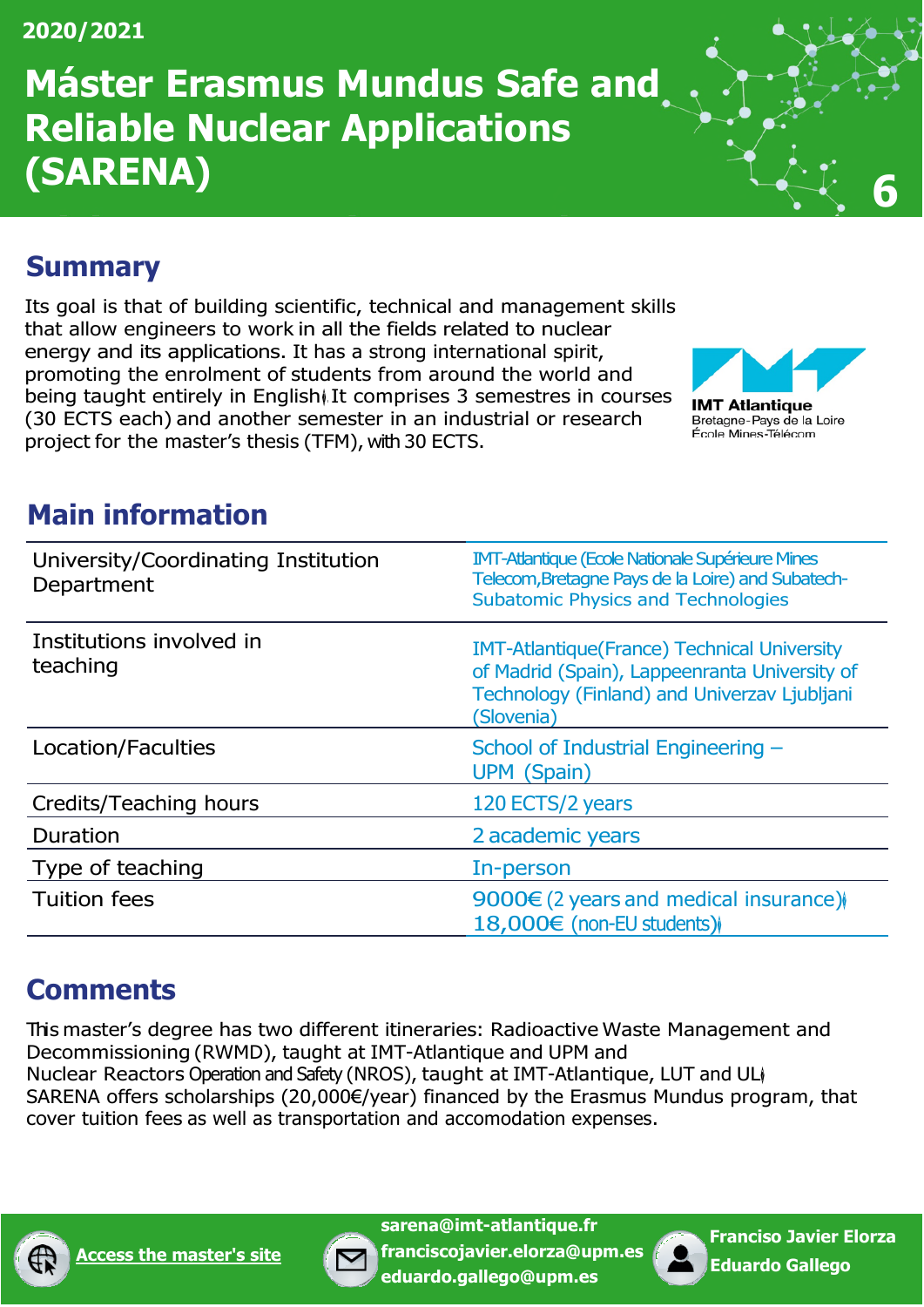### **Máster Erasmus Mundus Safe and Reliable Nuclear Applications (SARENA) 6**



#### <span id="page-6-0"></span>**Summary**

Its goal is that of building scientific, technical and management skills that allow engineers to work in all the fields related to nuclear energy and its applications. It has a strong international spirit, promoting the enrolment of students from around the world and being taught entirely in English) It comprises 3 semestres in courses (30 ECTS each) and another semester in an industrial or research project for the master's thesis (TFM), with 30 ECTS.



#### **Main information**

| University/Coordinating Institution<br>Department | <b>IMT-Atlantique (Ecole Nationale Supérieure Mines</b><br>Telecom, Bretagne Pays de la Loire) and Subatech-<br><b>Subatomic Physics and Technologies</b>          |
|---------------------------------------------------|--------------------------------------------------------------------------------------------------------------------------------------------------------------------|
| Institutions involved in<br>teaching              | <b>IMT-Atlantique (France) Technical University</b><br>of Madrid (Spain), Lappeenranta University of<br>Technology (Finland) and Univerzav Ljubljani<br>(Slovenia) |
| Location/Faculties                                | School of Industrial Engineering -<br><b>UPM</b> (Spain)                                                                                                           |
| Credits/Teaching hours                            | 120 ECTS/2 years                                                                                                                                                   |
| Duration                                          | 2 academic years                                                                                                                                                   |
| Type of teaching                                  | In-person                                                                                                                                                          |
| <b>Tuition fees</b>                               | 9000 $\in$ (2 years and medical insurance))<br>18,000€ (non-EU students)                                                                                           |

#### **Comments**

This master's degree has two different itineraries: Radioactive Waste Management and Decommissioning (RWMD), taught at IMT-Atlantique and UPM and Nuclear Reactors Operation and Safety (NROS), taught at IMT-Atlantique, LUT and UL SARENA offers scholarships (20,000€/year) financed by the Erasmus Mundus program, that cover tuition fees as well as transportation and accomodation expenses.





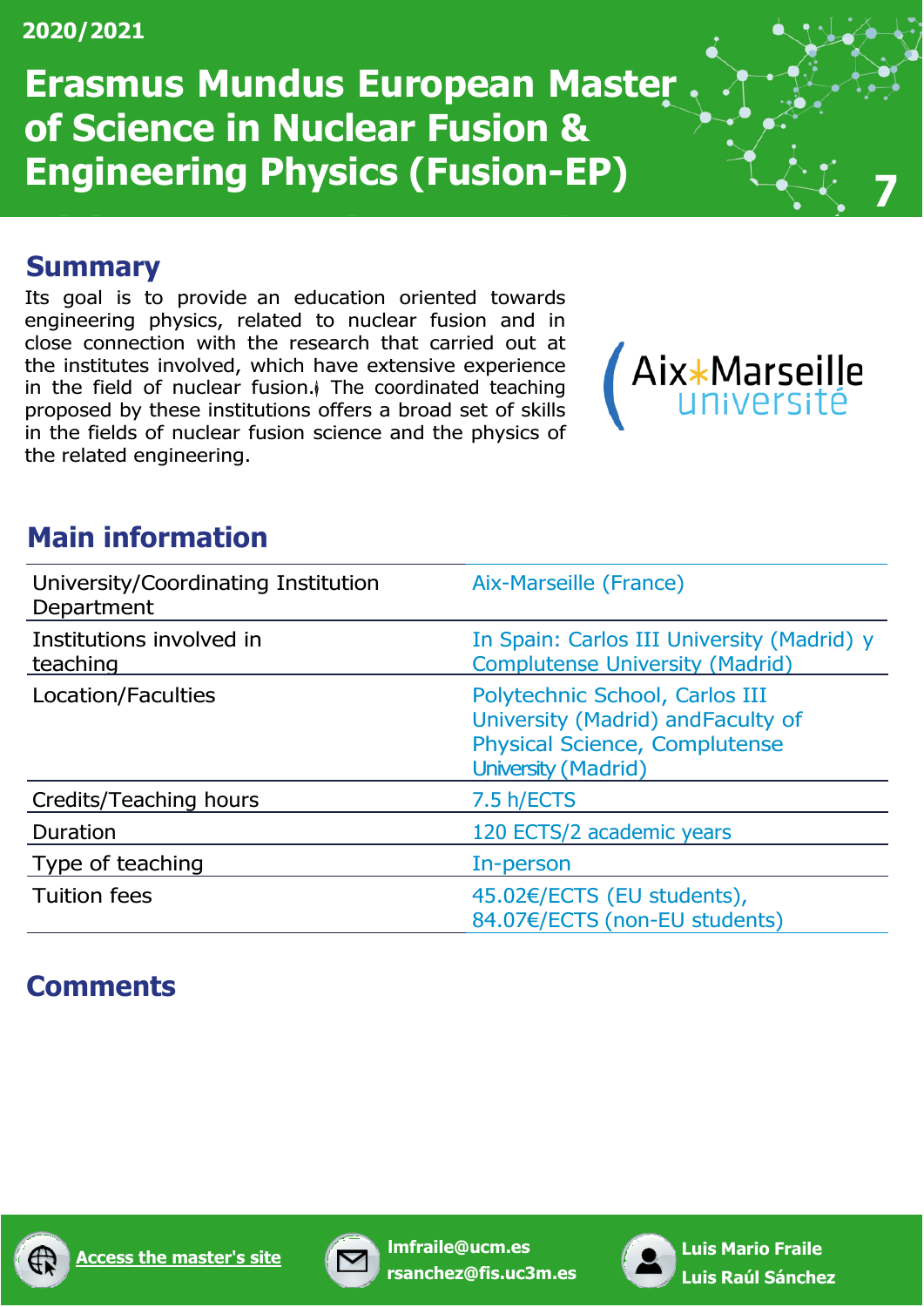**Erasmus Mundus European Master of Science in Nuclear Fusion & Engineering Physics (Fusion-EP) <sup>7</sup>**

#### <span id="page-7-0"></span>**Summary**

Its goal is to provide an education oriented towards engineering physics, related to nuclear fusion and in close connection with the research that carried out at the institutes involved, which have extensive experience in the field of nuclear fusion.<sup> $\parallel$ </sup> The coordinated teaching proposed by these institutions offers a broad set of skills in the fields of nuclear fusion science and the physics of the related engineering.



#### **Main information**

| University/Coordinating Institution<br>Department | Aix-Marseille (France)                                                                                                                     |
|---------------------------------------------------|--------------------------------------------------------------------------------------------------------------------------------------------|
| Institutions involved in<br>teaching              | In Spain: Carlos III University (Madrid) y<br><b>Complutense University (Madrid)</b>                                                       |
| Location/Faculties                                | Polytechnic School, Carlos III<br>University (Madrid) and Faculty of<br><b>Physical Science, Complutense</b><br><b>University (Madrid)</b> |
| Credits/Teaching hours                            | 7.5 h/ECTS                                                                                                                                 |
| Duration                                          | 120 ECTS/2 academic years                                                                                                                  |
| Type of teaching                                  | In-person                                                                                                                                  |
| <b>Tuition fees</b>                               | 45.02€/ECTS (EU students),<br>84.07€/ECTS (non-EU students)                                                                                |

#### **Comments**



**[Access the master's site](http://www.em-master-fusion.org/) [lmfr](mailto:lmfraile@ucm.es)[aile@ucm.es](mailto:aile@ucm.es)**